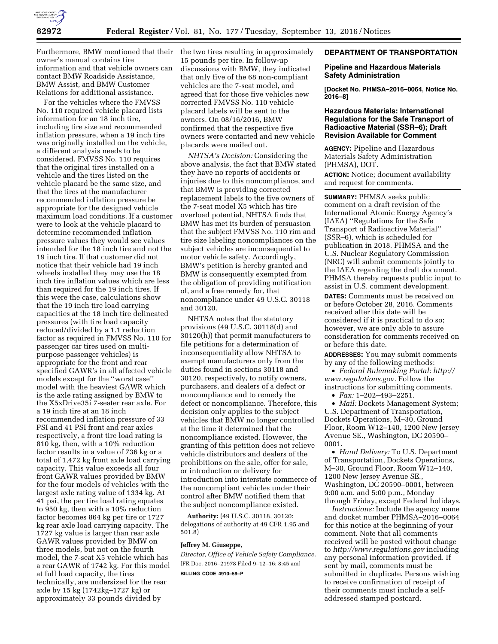

owner's manual contains tire information and that vehicle owners can contact BMW Roadside Assistance, BMW Assist, and BMW Customer Relations for additional assistance.

For the vehicles where the FMVSS No. 110 required vehicle placard lists information for an 18 inch tire, including tire size and recommended inflation pressure, when a 19 inch tire was originally installed on the vehicle, a different analysis needs to be considered. FMVSS No. 110 requires that the original tires installed on a vehicle and the tires listed on the vehicle placard be the same size, and that the tires at the manufacturer recommended inflation pressure be appropriate for the designed vehicle maximum load conditions. If a customer were to look at the vehicle placard to determine recommended inflation pressure values they would see values intended for the 18 inch tire and not the 19 inch tire. If that customer did not notice that their vehicle had 19 inch wheels installed they may use the 18 inch tire inflation values which are less than required for the 19 inch tires. If this were the case, calculations show that the 19 inch tire load carrying capacities at the 18 inch tire delineated pressures (with tire load capacity reduced/divided by a 1.1 reduction factor as required in FMVSS No. 110 for passenger car tires used on multipurpose passenger vehicles) is appropriate for the front and rear specified GAWR's in all affected vehicle models except for the ''worst case'' model with the heaviest GAWR which is the axle rating assigned by BMW to the X5xDrive35i 7-seater rear axle. For a 19 inch tire at an 18 inch recommended inflation pressure of 33 PSI and 41 PSI front and rear axles respectively, a front tire load rating is 810 kg, then, with a 10% reduction factor results in a value of 736 kg or a total of 1,472 kg front axle load carrying capacity. This value exceeds all four front GAWR values provided by BMW for the four models of vehicles with the largest axle rating value of 1334 kg. At 41 psi, the per tire load rating equates to 950 kg, then with a 10% reduction factor becomes 864 kg per tire or 1727 kg rear axle load carrying capacity. The 1727 kg value is larger than rear axle GAWR values provided by BMW on three models, but not on the fourth model, the 7-seat X5 vehicle which has a rear GAWR of 1742 kg. For this model at full load capacity, the tires technically, are undersized for the rear axle by 15 kg (1742kg–1727 kg) or approximately 33 pounds divided by

Furthermore, BMW mentioned that their the two tires resulting in approximately 15 pounds per tire. In follow-up discussions with BMW, they indicated that only five of the 68 non-compliant vehicles are the 7-seat model, and agreed that for those five vehicles new corrected FMVSS No. 110 vehicle placard labels will be sent to the owners. On 08/16/2016, BMW confirmed that the respective five owners were contacted and new vehicle placards were mailed out.

> *NHTSA's Decision:* Considering the above analysis, the fact that BMW stated they have no reports of accidents or injuries due to this noncompliance, and that BMW is providing corrected replacement labels to the five owners of the 7-seat model X5 which has tire overload potential, NHTSA finds that BMW has met its burden of persuasion that the subject FMVSS No. 110 rim and tire size labeling noncompliances on the subject vehicles are inconsequential to motor vehicle safety. Accordingly, BMW's petition is hereby granted and BMW is consequently exempted from the obligation of providing notification of, and a free remedy for, that noncompliance under 49 U.S.C. 30118 and 30120.

> NHTSA notes that the statutory provisions (49 U.S.C. 30118(d) and 30120(h)) that permit manufacturers to file petitions for a determination of inconsequentiality allow NHTSA to exempt manufacturers only from the duties found in sections 30118 and 30120, respectively, to notify owners, purchasers, and dealers of a defect or noncompliance and to remedy the defect or noncompliance. Therefore, this decision only applies to the subject vehicles that BMW no longer controlled at the time it determined that the noncompliance existed. However, the granting of this petition does not relieve vehicle distributors and dealers of the prohibitions on the sale, offer for sale, or introduction or delivery for introduction into interstate commerce of the noncompliant vehicles under their control after BMW notified them that the subject noncompliance existed.

**Authority:** (49 U.S.C. 30118, 30120: delegations of authority at 49 CFR 1.95 and 501.8)

## **Jeffrey M. Giuseppe,**

*Director, Office of Vehicle Safety Compliance.*  [FR Doc. 2016–21978 Filed 9–12–16; 8:45 am] **BILLING CODE 4910–59–P** 

# **DEPARTMENT OF TRANSPORTATION**

## **Pipeline and Hazardous Materials Safety Administration**

**[Docket No. PHMSA–2016–0064, Notice No. 2016–8]** 

## **Hazardous Materials: International Regulations for the Safe Transport of Radioactive Material (SSR–6); Draft Revision Available for Comment**

**AGENCY:** Pipeline and Hazardous Materials Safety Administration (PHMSA), DOT.

**ACTION:** Notice; document availability and request for comments.

**SUMMARY:** PHMSA seeks public comment on a draft revision of the International Atomic Energy Agency's (IAEA) ''Regulations for the Safe Transport of Radioactive Material'' (SSR–6), which is scheduled for publication in 2018. PHMSA and the U.S. Nuclear Regulatory Commission (NRC) will submit comments jointly to the IAEA regarding the draft document. PHMSA thereby requests public input to assist in U.S. comment development.

**DATES:** Comments must be received on or before October 28, 2016. Comments received after this date will be considered if it is practical to do so; however, we are only able to assure consideration for comments received on or before this date.

**ADDRESSES:** You may submit comments by any of the following methods:

• *Federal Rulemaking Portal: [http://](http://www.regulations.gov) [www.regulations.gov.](http://www.regulations.gov)* Follow the instructions for submitting comments.

• *Fax:* 1–202–493–2251.

• *Mail:* Dockets Management System; U.S. Department of Transportation, Dockets Operations, M–30, Ground Floor, Room W12–140, 1200 New Jersey Avenue SE., Washington, DC 20590– 0001.

• *Hand Delivery:* To U.S. Department of Transportation, Dockets Operations, M–30, Ground Floor, Room W12–140, 1200 New Jersey Avenue SE., Washington, DC 20590–0001, between 9:00 a.m. and 5:00 p.m., Monday through Friday, except Federal holidays.

*Instructions:* Include the agency name and docket number PHMSA–2016–0064 for this notice at the beginning of your comment. Note that all comments received will be posted without change to *<http://www.regulations.gov>*including any personal information provided. If sent by mail, comments must be submitted in duplicate. Persons wishing to receive confirmation of receipt of their comments must include a selfaddressed stamped postcard.